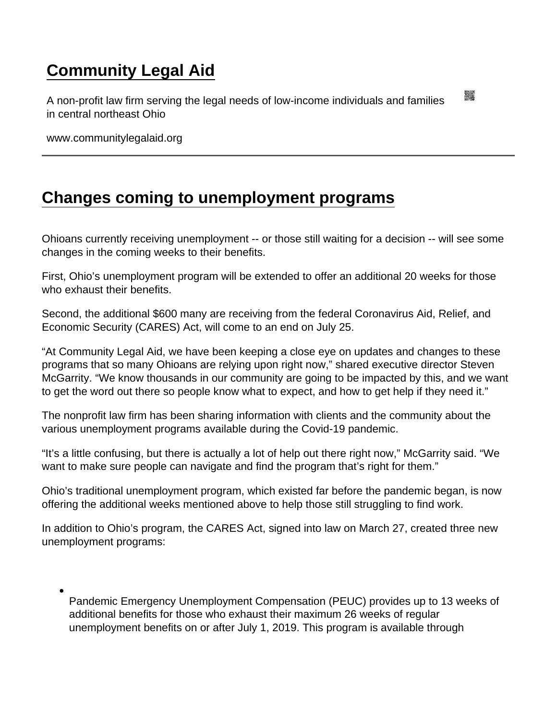## [Community Legal Aid](https://www.communitylegalaid.org/)

A non-profit law firm serving the legal needs of low-income individuals and families in central northeast Ohio

www.communitylegalaid.org

## [Changes coming to unemployment programs](https://www.communitylegalaid.org/node/1363/changes-coming-unemployment-programs)

Ohioans currently receiving unemployment -- or those still waiting for a decision -- will see some changes in the coming weeks to their benefits.

First, Ohio's unemployment program will be extended to offer an additional 20 weeks for those who exhaust their benefits.

Second, the additional \$600 many are receiving from the federal Coronavirus Aid, Relief, and Economic Security (CARES) Act, will come to an end on July 25.

"At Community Legal Aid, we have been keeping a close eye on updates and changes to these programs that so many Ohioans are relying upon right now," shared executive director Steven McGarrity. "We know thousands in our community are going to be impacted by this, and we want to get the word out there so people know what to expect, and how to get help if they need it."

The nonprofit law firm has been sharing information with clients and the community about the various unemployment programs available during the Covid-19 pandemic.

"It's a little confusing, but there is actually a lot of help out there right now," McGarrity said. "We want to make sure people can navigate and find the program that's right for them."

Ohio's traditional unemployment program, which existed far before the pandemic began, is now offering the additional weeks mentioned above to help those still struggling to find work.

In addition to Ohio's program, the CARES Act, signed into law on March 27, created three new unemployment programs:

Pandemic Emergency Unemployment Compensation (PEUC) provides up to 13 weeks of additional benefits for those who exhaust their maximum 26 weeks of regular unemployment benefits on or after July 1, 2019. This program is available through